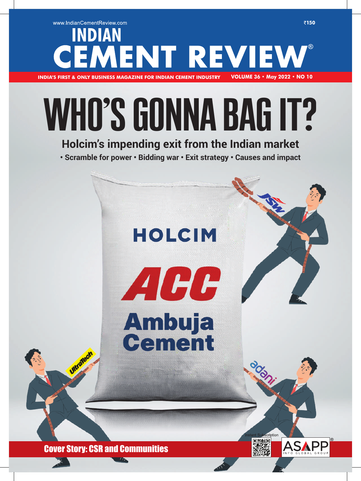### www.IndianCementReview.com ₹150 **INDIAN MENT REVIEW INDIA'S FIRST & ONLY BUSINESS MAGAZINE FOR INDIAN CEMENT INDUSTRY VOLUME 36 • May 2022 • NO 10**

## WHO'S GONNA BAG IT?

### **Holcim's impending exit from the Indian market**

**• Scramble for power • Bidding war • Exit strategy • Causes and impact**

# **HOLCIM** ACC **Ambuja<br>Cement** cription

ķП

Cover Story: CSR and Communities

 $M$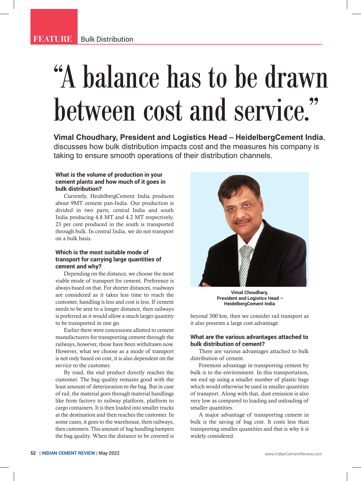### "A balance has to be drawn between cost and service."

**Vimal Choudhary, President and Logistics Head – HeidelbergCement India**, discusses how bulk distribution impacts cost and the measures his company is taking to ensure smooth operations of their distribution channels.

### **What is the volume of production in your cement plants and how much of it goes in bulk distribution?**

Currently, HeidelbergCement India produces about 9MT cement pan-India. Our production is divided in two parts, central India and south India producing 4.8 MT and 4.2 MT respectively. 23 per cent produced in the south is transported through bulk. In central India, we do not transport on a bulk basis.

### **Which is the most suitable mode of transport for carrying large quantities of cement and why?**

Depending on the distance, we choose the most viable mode of transport for cement. Preference is always based on that. For shorter distances, roadways are considered as it takes less time to reach the customer, handling is less and cost is less. If cement needs to be sent to a longer distance, then railways is preferred as it would allow a much larger quantity to be transported in one go.

Earlier there were concessions allotted to cement manufacturers for transporting cement through the railways, however, those have been withdrawn now. However, what we choose as a mode of transport is not only based on cost, it is also dependent on the service to the customer.

By road, the end product directly reaches the customer. The bag quality remains good with the least amount of deterioration to the bag. But in case of rail, the material goes through material handlings like from factory to railway platform, platform to cargo containers. It is then loaded into smaller trucks at the destination and then reaches the customer. In some cases, it goes to the warehouse, then railways, then customers. This amount of bag handling hampers the bag quality. When the distance to be covered is



**Vimal Choudhary, President and Logistics Head – HeidelbergCement India**

beyond 300 km, then we consider rail transport as it also presents a large cost advantage.

### **What are the various advantages attached to bulk distribution of cement?**

There are various advantages attached to bulk distribution of cement.

Foremost advantage in transporting cement by bulk is to the environment. In this transportation, we end up using a smaller number of plastic bags which would otherwise be used in smaller quantities of transport. Along with that, dust emission is also very low as compared to loading and unloading of smaller quantities.

A major advantage of transporting cement in bulk is the saving of bag cost. It costs less than transporting smaller quantities and that is why it is widely considered.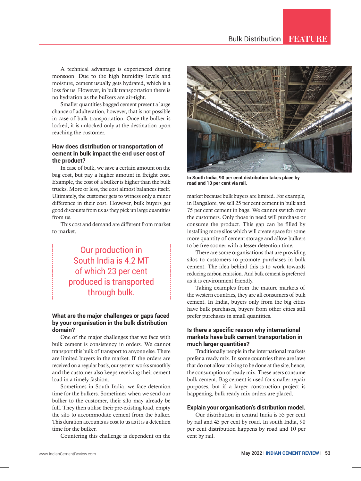A technical advantage is experienced during monsoon. Due to the high humidity levels and moisture, cement usually gets hydrated, which is a loss for us. However, in bulk transportation there is no hydration as the bulkers are air-tight.

Smaller quantities bagged cement present a large chance of adulteration, however, that is not possible in case of bulk transportation. Once the bulker is locked, it is unlocked only at the destination upon reaching the customer.

### **How does distribution or transportation of cement in bulk impact the end user cost of the product?**

In case of bulk, we save a certain amount on the bag cost, but pay a higher amount in freight cost. Example, the cost of a bulker is higher than the bulk trucks. More or less, the cost almost balances itself. Ultimately, the customer gets to witness only a minor difference in their cost. However, bulk buyers get good discounts from us as they pick up large quantities from us.

This cost and demand are different from market to market.

> Our production in South India is 4.2 MT of which 23 per cent produced is transported through bulk.

### **What are the major challenges or gaps faced by your organisation in the bulk distribution domain?**

One of the major challenges that we face with bulk cement is consistency in orders. We cannot transport this bulk of transport to anyone else. There are limited buyers in the market. If the orders are received on a regular basis, our system works smoothly and the customer also keeps receiving their cement load in a timely fashion.

Sometimes in South India, we face detention time for the bulkers. Sometimes when we send our bulker to the customer, their silo may already be full. They then utilise their pre-existing load, empty the silo to accommodate cement from the bulker. This duration accounts as cost to us as it is a detention time for the bulker.

Countering this challenge is dependent on the



**In South India, 90 per cent distribution takes place by road and 10 per cent via rail.**

market because bulk buyers are limited. For example, in Bangalore, we sell 25 per cent cement in bulk and 75 per cent cement in bags. We cannot switch over the customers. Only those in need will purchase or consume the product. This gap can be filled by installing more silos which will create space for some more quantity of cement storage and allow bulkers to be free sooner with a lesser detention time.

There are some organisations that are providing silos to customers to promote purchases in bulk cement. The idea behind this is to work towards reducing carbon emission. And bulk cement is preferred as it is environment friendly.

Taking examples from the mature markets of the western countries, they are all consumers of bulk cement. In India, buyers only from the big cities have bulk purchases, buyers from other cities still prefer purchases in small quantities.

### **Is there a specific reason why international markets have bulk cement transportation in much larger quantities?**

Traditionally people in the international markets prefer a ready mix. In some countries there are laws that do not allow mixing to be done at the site, hence, the consumption of ready mix. These users consume bulk cement. Bag cement is used for smaller repair purposes, but if a larger construction project is happening, bulk ready mix orders are placed.

### **Explain your organisation's distribution model.**

Our distribution in central India is 55 per cent by rail and 45 per cent by road. In south India, 90 per cent distribution happens by road and 10 per cent by rail.